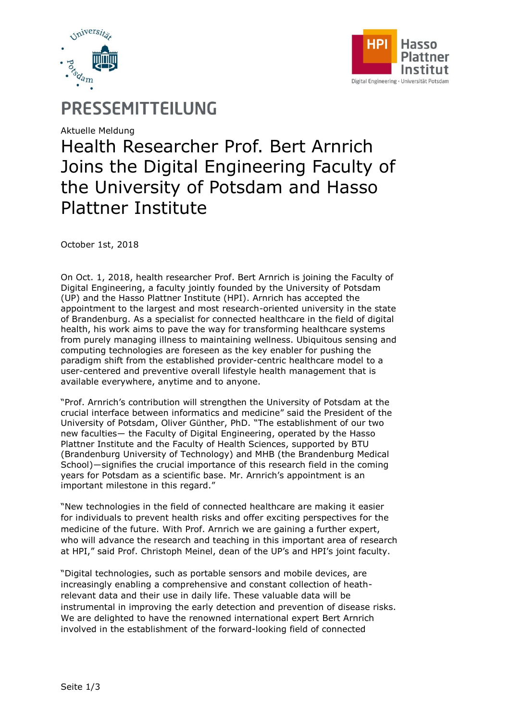



# PRESSEMITTEILUNG

Aktuelle Meldung

# Health Researcher Prof. Bert Arnrich Joins the Digital Engineering Faculty of the University of Potsdam and Hasso Plattner Institute

October 1st, 2018

On Oct. 1, 2018, health researcher Prof. Bert Arnrich is joining the Faculty of Digital Engineering, a faculty jointly founded by the University of Potsdam (UP) and the Hasso Plattner Institute (HPI). Arnrich has accepted the appointment to the largest and most research-oriented university in the state of Brandenburg. As a specialist for connected healthcare in the field of digital health, his work aims to pave the way for transforming healthcare systems from purely managing illness to maintaining wellness. Ubiquitous sensing and computing technologies are foreseen as the key enabler for pushing the paradigm shift from the established provider-centric healthcare model to a user-centered and preventive overall lifestyle health management that is available everywhere, anytime and to anyone.

"Prof. Arnrich's contribution will strengthen the University of Potsdam at the crucial interface between informatics and medicine" said the President of the University of Potsdam, Oliver Günther, PhD. "The establishment of our two new faculties― the Faculty of Digital Engineering, operated by the Hasso Plattner Institute and the Faculty of Health Sciences, supported by BTU (Brandenburg University of Technology) and MHB (the Brandenburg Medical School)―signifies the crucial importance of this research field in the coming years for Potsdam as a scientific base. Mr. Arnrich's appointment is an important milestone in this regard."

"New technologies in the field of connected healthcare are making it easier for individuals to prevent health risks and offer exciting perspectives for the medicine of the future. With Prof. Arnrich we are gaining a further expert, who will advance the research and teaching in this important area of research at HPI," said Prof. Christoph Meinel, dean of the UP's and HPI's joint faculty.

"Digital technologies, such as portable sensors and mobile devices, are increasingly enabling a comprehensive and constant collection of heathrelevant data and their use in daily life. These valuable data will be instrumental in improving the early detection and prevention of disease risks. We are delighted to have the renowned international expert Bert Arnrich involved in the establishment of the forward-looking field of connected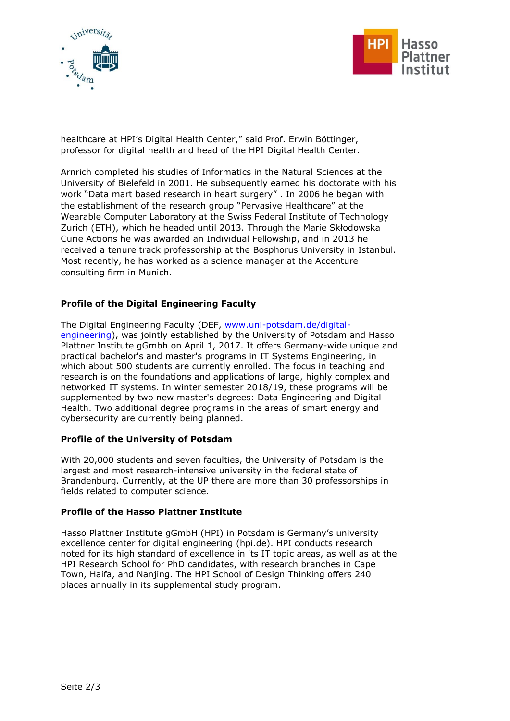



healthcare at HPI's Digital Health Center," said Prof. Erwin Böttinger, professor for digital health and head of the HPI Digital Health Center.

Arnrich completed his studies of Informatics in the Natural Sciences at the University of Bielefeld in 2001. He subsequently earned his doctorate with his work "Data mart based research in heart surgery" . In 2006 he began with the establishment of the research group "Pervasive Healthcare" at the Wearable Computer Laboratory at the Swiss Federal Institute of Technology Zurich (ETH), which he headed until 2013. Through the Marie Skłodowska Curie Actions he was awarded an Individual Fellowship, and in 2013 he received a tenure track professorship at the Bosphorus University in Istanbul. Most recently, he has worked as a science manager at the Accenture consulting firm in Munich.

## **Profile of the Digital Engineering Faculty**

The Digital Engineering Faculty (DEF, [www.uni-potsdam.de/digital](http://www.uni-potsdam.de/digital-engineering)[engineering\)](http://www.uni-potsdam.de/digital-engineering), was jointly established by the University of Potsdam and Hasso Plattner Institute gGmbh on April 1, 2017. It offers Germany-wide unique and practical bachelor's and master's programs in IT Systems Engineering, in which about 500 students are currently enrolled. The focus in teaching and research is on the foundations and applications of large, highly complex and networked IT systems. In winter semester 2018/19, these programs will be supplemented by two new master's degrees: Data Engineering and Digital Health. Two additional degree programs in the areas of smart energy and cybersecurity are currently being planned.

### **Profile of the University of Potsdam**

With 20,000 students and seven faculties, the University of Potsdam is the largest and most research-intensive university in the federal state of Brandenburg. Currently, at the UP there are more than 30 professorships in fields related to computer science.

### **Profile of the Hasso Plattner Institute**

Hasso Plattner Institute gGmbH (HPI) in Potsdam is Germany's university excellence center for digital engineering (hpi.de). HPI conducts research noted for its high standard of excellence in its IT topic areas, as well as at the HPI Research School for PhD candidates, with research branches in Cape Town, Haifa, and Nanjing. The HPI School of Design Thinking offers 240 places annually in its supplemental study program.